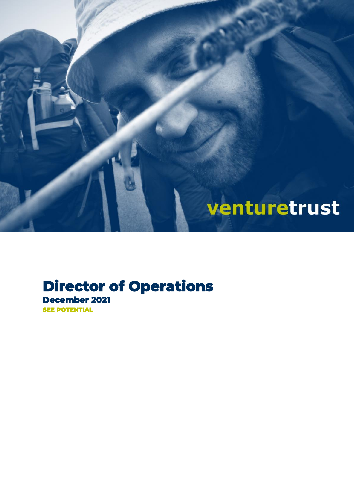

### **Director of Operations December 2021**  SEE POTENTIAL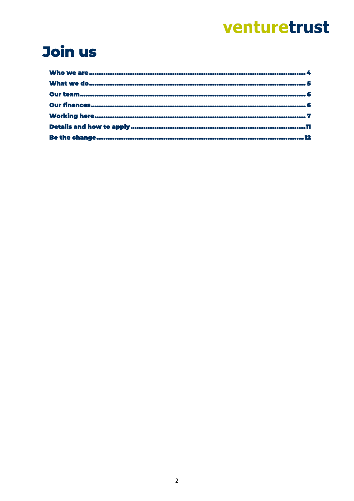### Join us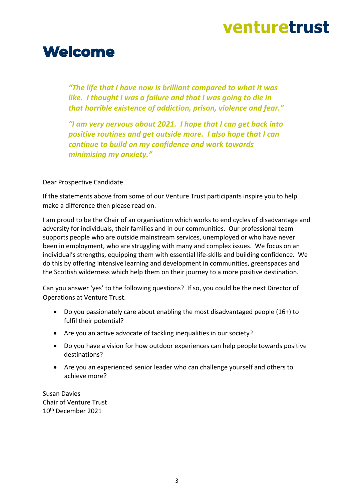### **Welcome**

*"The life that I have now is brilliant compared to what it was like. I thought I was a failure and that I was going to die in that horrible existence of addiction, prison, violence and fear."*

*"I am very nervous about 2021. I hope that I can get back into positive routines and get outside more. I also hope that I can continue to build on my confidence and work towards minimising my anxiety."*

Dear Prospective Candidate

If the statements above from some of our Venture Trust participants inspire you to help make a difference then please read on.

I am proud to be the Chair of an organisation which works to end cycles of disadvantage and adversity for individuals, their families and in our communities. Our professional team supports people who are outside mainstream services, unemployed or who have never been in employment, who are struggling with many and complex issues. We focus on an individual's strengths, equipping them with essential life-skills and building confidence. We do this by offering intensive learning and development in communities, greenspaces and the Scottish wilderness which help them on their journey to a more positive destination.

Can you answer 'yes' to the following questions? If so, you could be the next Director of Operations at Venture Trust.

- Do you passionately care about enabling the most disadvantaged people (16+) to fulfil their potential?
- Are you an active advocate of tackling inequalities in our society?
- Do you have a vision for how outdoor experiences can help people towards positive destinations?
- Are you an experienced senior leader who can challenge yourself and others to achieve more?

Susan Davies Chair of Venture Trust 10th December 2021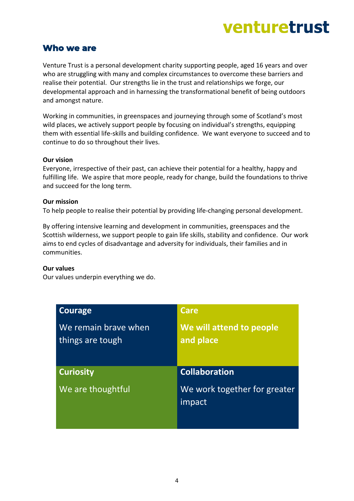### <span id="page-3-0"></span>**Who we are**

Venture Trust is a personal development charity supporting people, aged 16 years and over who are struggling with many and complex circumstances to overcome these barriers and realise their potential. Our strengths lie in the trust and relationships we forge, our developmental approach and in harnessing the transformational benefit of being outdoors and amongst nature.

Working in communities, in greenspaces and journeying through some of Scotland's most wild places, we actively support people by focusing on individual's strengths, equipping them with essential life-skills and building confidence. We want everyone to succeed and to continue to do so throughout their lives.

#### **Our vision**

Everyone, irrespective of their past, can achieve their potential for a healthy, happy and fulfilling life. We aspire that more people, ready for change, build the foundations to thrive and succeed for the long term.

### **Our mission**

To help people to realise their potential by providing life-changing personal development.

By offering intensive learning and development in communities, greenspaces and the Scottish wilderness, we support people to gain life skills, stability and confidence. Our work aims to end cycles of disadvantage and adversity for individuals, their families and in communities.

#### **Our values**

Our values underpin everything we do.

| Courage                                  | Care                                  |
|------------------------------------------|---------------------------------------|
| We remain brave when<br>things are tough | We will attend to people<br>and place |
|                                          |                                       |
| <b>Curiosity</b>                         | <b>Collaboration</b>                  |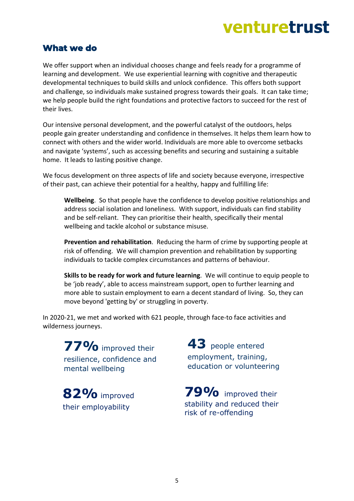### <span id="page-4-0"></span>**What we do**

We offer support when an individual chooses change and feels ready for a programme of learning and development. We use experiential learning with cognitive and therapeutic developmental techniques to build skills and unlock confidence. This offers both support and challenge, so individuals make sustained progress towards their goals. It can take time; we help people build the right foundations and protective factors to succeed for the rest of their lives.

Our intensive personal development, and the powerful catalyst of the outdoors, helps people gain greater understanding and confidence in themselves. It helps them learn how to connect with others and the wider world. Individuals are more able to overcome setbacks and navigate 'systems', such as accessing benefits and securing and sustaining a suitable home. It leads to lasting positive change.

We focus development on three aspects of life and society because everyone, irrespective of their past, can achieve their potential for a healthy, happy and fulfilling life:

**Wellbeing**. So that people have the confidence to develop positive relationships and address social isolation and loneliness. With support, individuals can find stability and be self-reliant. They can prioritise their health, specifically their mental wellbeing and tackle alcohol or substance misuse.

**Prevention and rehabilitation**. Reducing the harm of crime by supporting people at risk of offending. We will champion prevention and rehabilitation by supporting individuals to tackle complex circumstances and patterns of behaviour.

**Skills to be ready for work and future learning**. We will continue to equip people to be 'job ready', able to access mainstream support, open to further learning and more able to sustain employment to earn a decent standard of living. So, they can move beyond 'getting by' or struggling in poverty.

In 2020-21, we met and worked with 621 people, through face-to face activities and wilderness journeys.

**77%**improved their resilience, confidence and mental wellbeing

**82%**improved their employability

**43** people entered employment, training, education or volunteering

**79%** improved their stability and reduced their risk of re-offending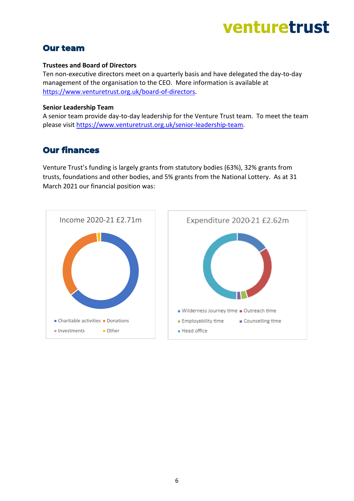### <span id="page-5-0"></span>**Our team**

#### **Trustees and Board of Directors**

Ten non-executive directors meet on a quarterly basis and have delegated the day-to-day management of the organisation to the CEO. More information is available at [https://www.venturetrust.org.uk/board-of-directors.](https://www.venturetrust.org.uk/board-of-directors)

#### **Senior Leadership Team**

A senior team provide day-to-day leadership for the Venture Trust team. To meet the team please visit [https://www.venturetrust.org.uk/senior-leadership-team.](https://www.venturetrust.org.uk/senior-leadership-team)

### <span id="page-5-1"></span>**Our finances**

Venture Trust's funding is largely grants from statutory bodies (63%), 32% grants from trusts, foundations and other bodies, and 5% grants from the National Lottery. As at 31 March 2021 our financial position was:

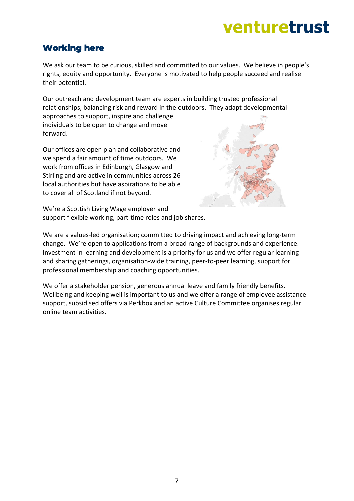### <span id="page-6-0"></span>**Working here**

We ask our team to be curious, skilled and committed to our values. We believe in people's rights, equity and opportunity. Everyone is motivated to help people succeed and realise their potential.

Our outreach and development team are experts in building trusted professional relationships, balancing risk and reward in the outdoors. They adapt developmental

approaches to support, inspire and challenge individuals to be open to change and move forward.

Our offices are open plan and collaborative and we spend a fair amount of time outdoors. We work from offices in Edinburgh, Glasgow and Stirling and are active in communities across 26 local authorities but have aspirations to be able to cover all of Scotland if not beyond.



We're a Scottish Living Wage employer and support flexible working, part-time roles and job shares.

We are a values-led organisation; committed to driving impact and achieving long-term change. We're open to applications from a broad range of backgrounds and experience. Investment in learning and development is a priority for us and we offer regular learning and sharing gatherings, organisation-wide training, peer-to-peer learning, support for professional membership and coaching opportunities.

We offer a stakeholder pension, generous annual leave and family friendly benefits. Wellbeing and keeping well is important to us and we offer a range of employee assistance support, subsidised offers via Perkbox and an active Culture Committee organises regular online team activities.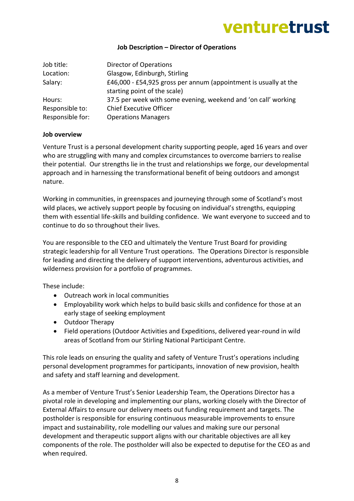### **Job Description – Director of Operations**

| Job title:       | Director of Operations                                           |
|------------------|------------------------------------------------------------------|
| Location:        | Glasgow, Edinburgh, Stirling                                     |
| Salary:          | £46,000 - £54,925 gross per annum (appointment is usually at the |
|                  | starting point of the scale)                                     |
| Hours:           | 37.5 per week with some evening, weekend and 'on call' working   |
| Responsible to:  | <b>Chief Executive Officer</b>                                   |
| Responsible for: | <b>Operations Managers</b>                                       |

#### **Job overview**

Venture Trust is a personal development charity supporting people, aged 16 years and over who are struggling with many and complex circumstances to overcome barriers to realise their potential. Our strengths lie in the trust and relationships we forge, our developmental approach and in harnessing the transformational benefit of being outdoors and amongst nature.

Working in communities, in greenspaces and journeying through some of Scotland's most wild places, we actively support people by focusing on individual's strengths, equipping them with essential life-skills and building confidence. We want everyone to succeed and to continue to do so throughout their lives.

You are responsible to the CEO and ultimately the Venture Trust Board for providing strategic leadership for all Venture Trust operations. The Operations Director is responsible for leading and directing the delivery of support interventions, adventurous activities, and wilderness provision for a portfolio of programmes.

These include:

- Outreach work in local communities
- Employability work which helps to build basic skills and confidence for those at an early stage of seeking employment
- Outdoor Therapy
- Field operations (Outdoor Activities and Expeditions, delivered year-round in wild areas of Scotland from our Stirling National Participant Centre.

This role leads on ensuring the quality and safety of Venture Trust's operations including personal development programmes for participants, innovation of new provision, health and safety and staff learning and development.

As a member of Venture Trust's Senior Leadership Team, the Operations Director has a pivotal role in developing and implementing our plans, working closely with the Director of External Affairs to ensure our delivery meets out funding requirement and targets. The postholder is responsible for ensuring continuous measurable improvements to ensure impact and sustainability, role modelling our values and making sure our personal development and therapeutic support aligns with our charitable objectives are all key components of the role. The postholder will also be expected to deputise for the CEO as and when required.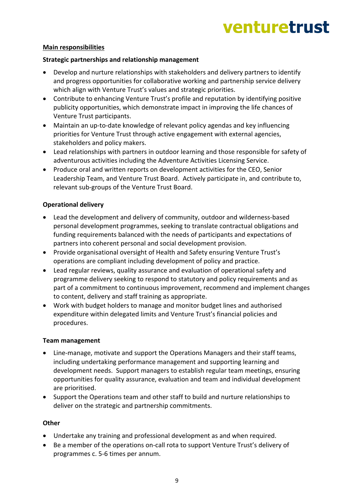### **Main responsibilities**

### **Strategic partnerships and relationship management**

- Develop and nurture relationships with stakeholders and delivery partners to identify and progress opportunities for collaborative working and partnership service delivery which align with Venture Trust's values and strategic priorities.
- Contribute to enhancing Venture Trust's profile and reputation by identifying positive publicity opportunities, which demonstrate impact in improving the life chances of Venture Trust participants.
- Maintain an up-to-date knowledge of relevant policy agendas and key influencing priorities for Venture Trust through active engagement with external agencies, stakeholders and policy makers.
- Lead relationships with partners in outdoor learning and those responsible for safety of adventurous activities including the Adventure Activities Licensing Service.
- Produce oral and written reports on development activities for the CEO, Senior Leadership Team, and Venture Trust Board. Actively participate in, and contribute to, relevant sub-groups of the Venture Trust Board.

### **Operational delivery**

- Lead the development and delivery of community, outdoor and wilderness-based personal development programmes, seeking to translate contractual obligations and funding requirements balanced with the needs of participants and expectations of partners into coherent personal and social development provision.
- Provide organisational oversight of Health and Safety ensuring Venture Trust's operations are compliant including development of policy and practice.
- Lead regular reviews, quality assurance and evaluation of operational safety and programme delivery seeking to respond to statutory and policy requirements and as part of a commitment to continuous improvement, recommend and implement changes to content, delivery and staff training as appropriate.
- Work with budget holders to manage and monitor budget lines and authorised expenditure within delegated limits and Venture Trust's financial policies and procedures.

#### **Team management**

- Line-manage, motivate and support the Operations Managers and their staff teams, including undertaking performance management and supporting learning and development needs. Support managers to establish regular team meetings, ensuring opportunities for quality assurance, evaluation and team and individual development are prioritised.
- Support the Operations team and other staff to build and nurture relationships to deliver on the strategic and partnership commitments.

### **Other**

- Undertake any training and professional development as and when required.
- Be a member of the operations on-call rota to support Venture Trust's delivery of programmes c. 5-6 times per annum.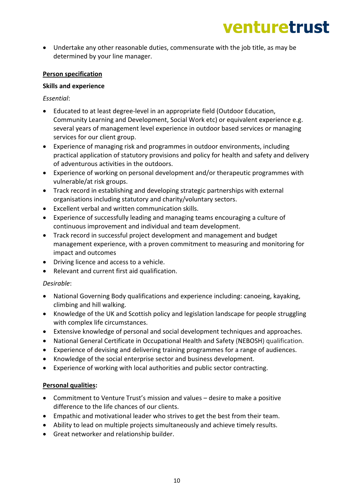• Undertake any other reasonable duties, commensurate with the job title, as may be determined by your line manager.

### **Person specification**

### **Skills and experience**

*Essential*:

- Educated to at least degree-level in an appropriate field (Outdoor Education, Community Learning and Development, Social Work etc) or equivalent experience e.g. several years of management level experience in outdoor based services or managing services for our client group.
- Experience of managing risk and programmes in outdoor environments, including practical application of statutory provisions and policy for health and safety and delivery of adventurous activities in the outdoors.
- Experience of working on personal development and/or therapeutic programmes with vulnerable/at risk groups.
- Track record in establishing and developing strategic partnerships with external organisations including statutory and charity/voluntary sectors.
- Excellent verbal and written communication skills.
- Experience of successfully leading and managing teams encouraging a culture of continuous improvement and individual and team development.
- Track record in successful project development and management and budget management experience, with a proven commitment to measuring and monitoring for impact and outcomes
- Driving licence and access to a vehicle.
- Relevant and current first aid qualification.

### *Desirable*:

- National Governing Body qualifications and experience including: canoeing, kayaking, climbing and hill walking.
- Knowledge of the UK and Scottish policy and legislation landscape for people struggling with complex life circumstances.
- Extensive knowledge of personal and social development techniques and approaches.
- National General Certificate in Occupational Health and Safety (NEBOSH) qualification.
- Experience of devising and delivering training programmes for a range of audiences.
- Knowledge of the social enterprise sector and business development.
- Experience of working with local authorities and public sector contracting.

### **Personal qualities:**

- Commitment to Venture Trust's mission and values desire to make a positive difference to the life chances of our clients.
- Empathic and motivational leader who strives to get the best from their team.
- Ability to lead on multiple projects simultaneously and achieve timely results.
- Great networker and relationship builder.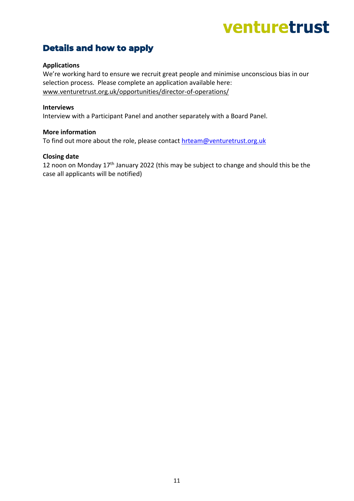### <span id="page-10-0"></span>**Details and how to apply**

### **Applications**

We're working hard to ensure we recruit great people and minimise unconscious bias in our selection process. Please complete an application available here: www.venturetrust.org.uk/opportunities/director-of-operations/

#### **Interviews**

Interview with a Participant Panel and another separately with a Board Panel.

#### **More information**

To find out more about the role, please contact [hrteam@venturetrust.org.uk](mailto:hrteam@venturetrust.org.uk)

#### **Closing date**

<span id="page-10-1"></span>12 noon on Monday 17th January 2022 (this may be subject to change and should this be the case all applicants will be notified)